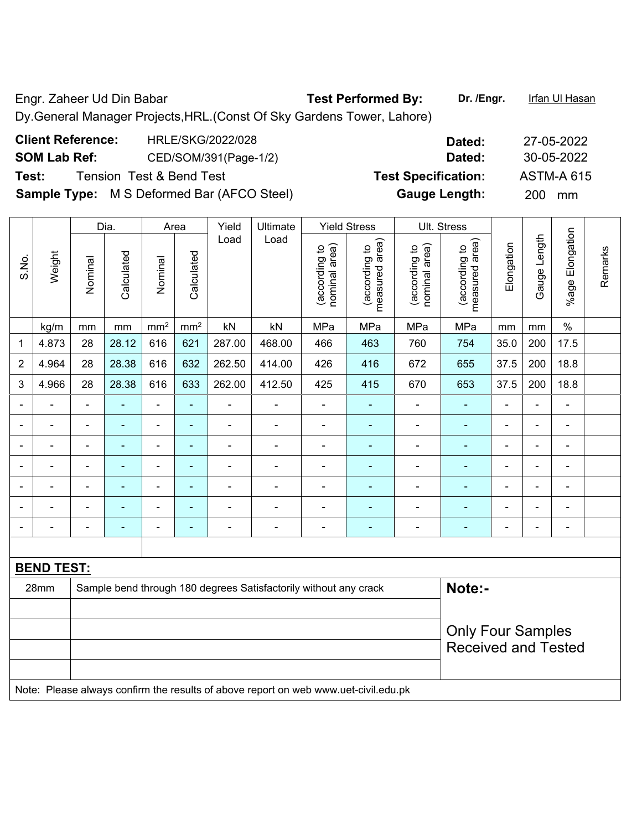Engr. Zaheer Ud Din Babar **Test Performed By:** Dr. /Engr. **Infan Ul Hasan** Dy.General Manager Projects,HRL.(Const Of Sky Gardens Tower, Lahore)

| <b>Client Reference:</b> | HRLE/SKG/2022/028                                 | Dated:                     | 27-05-2022        |
|--------------------------|---------------------------------------------------|----------------------------|-------------------|
| <b>SOM Lab Ref:</b>      | CED/SOM/391(Page-1/2)                             | Dated:                     | 30-05-2022        |
| Test:                    | Tension Test & Bend Test                          | <b>Test Specification:</b> | <b>ASTM-A 615</b> |
|                          | <b>Sample Type:</b> M S Deformed Bar (AFCO Steel) | <b>Gauge Length:</b>       | 200 mm            |

|                          |                   |                                                                            | Dia.           |                              | Area            | Yield          | Ultimate                                                                            |                                | <b>Yield Stress</b>             |                                | Ult. Stress                     |                |                |                          |         |
|--------------------------|-------------------|----------------------------------------------------------------------------|----------------|------------------------------|-----------------|----------------|-------------------------------------------------------------------------------------|--------------------------------|---------------------------------|--------------------------------|---------------------------------|----------------|----------------|--------------------------|---------|
| S.No.                    | Weight            | Nominal                                                                    | Calculated     | Nominal                      | Calculated      | Load           | Load                                                                                | nominal area)<br>(according to | measured area)<br>(according to | nominal area)<br>(according to | measured area)<br>(according to | Elongation     | Gauge Length   | %age Elongation          | Remarks |
|                          | kg/m              | mm                                                                         | mm             | mm <sup>2</sup>              | mm <sup>2</sup> | kN             | kN                                                                                  | MPa                            | MPa                             | MPa                            | MPa                             | mm             | mm             | $\%$                     |         |
| 1                        | 4.873             | 28                                                                         | 28.12          | 616                          | 621             | 287.00         | 468.00                                                                              | 466                            | 463                             | 760                            | 754                             | 35.0           | 200            | 17.5                     |         |
| $\overline{2}$           | 4.964             | 28                                                                         | 28.38          | 616                          | 632             | 262.50         | 414.00                                                                              | 426                            | 416                             | 672                            | 655                             | 37.5           | 200            | 18.8                     |         |
| 3                        | 4.966             | 28                                                                         | 28.38          | 616                          | 633             | 262.00         | 412.50                                                                              | 425                            | 415                             | 670                            | 653                             | 37.5           | 200            | 18.8                     |         |
|                          |                   | $\blacksquare$                                                             | ä,             | ÷,                           | ä,              | ÷,             | $\overline{\phantom{a}}$                                                            | $\blacksquare$                 | $\blacksquare$                  | ÷,                             | $\blacksquare$                  | $\blacksquare$ |                | $\blacksquare$           |         |
|                          | $\blacksquare$    | $\blacksquare$                                                             | ä,             | ÷,                           | $\blacksquare$  | $\blacksquare$ | $\blacksquare$                                                                      | $\blacksquare$                 | ٠                               | ÷,                             | $\blacksquare$                  | $\blacksquare$ | ä,             | $\blacksquare$           |         |
|                          |                   | $\blacksquare$                                                             |                |                              | $\blacksquare$  |                |                                                                                     |                                | ۰                               |                                |                                 |                |                |                          |         |
|                          |                   |                                                                            |                | ÷                            | ٠               |                |                                                                                     |                                | ۰                               | $\overline{a}$                 | $\blacksquare$                  | $\blacksquare$ |                | $\blacksquare$           |         |
| $\overline{\phantom{0}}$ |                   | $\blacksquare$                                                             | $\blacksquare$ | ÷                            | $\blacksquare$  | $\blacksquare$ | $\blacksquare$                                                                      | $\overline{a}$                 | ۰                               | ۰                              | $\blacksquare$                  | $\blacksquare$ | $\blacksquare$ | $\overline{\phantom{a}}$ |         |
|                          |                   | $\blacksquare$                                                             | $\blacksquare$ | $\qquad \qquad \blacksquare$ | $\blacksquare$  |                |                                                                                     |                                | ۰                               | ÷                              |                                 |                |                | $\overline{a}$           |         |
|                          |                   |                                                                            |                | ۰                            | $\blacksquare$  |                |                                                                                     | $\blacksquare$                 | $\overline{\phantom{0}}$        | ۰                              | ÷                               |                |                | Ē,                       |         |
|                          |                   |                                                                            |                |                              |                 |                |                                                                                     |                                |                                 |                                |                                 |                |                |                          |         |
|                          | <b>BEND TEST:</b> |                                                                            |                |                              |                 |                |                                                                                     |                                |                                 |                                |                                 |                |                |                          |         |
|                          | 28mm              | Note:-<br>Sample bend through 180 degrees Satisfactorily without any crack |                |                              |                 |                |                                                                                     |                                |                                 |                                |                                 |                |                |                          |         |
|                          |                   |                                                                            |                |                              |                 |                |                                                                                     |                                |                                 |                                |                                 |                |                |                          |         |
|                          |                   |                                                                            |                |                              |                 |                |                                                                                     |                                |                                 |                                | <b>Only Four Samples</b>        |                |                |                          |         |
|                          |                   |                                                                            |                |                              |                 |                |                                                                                     |                                |                                 |                                | <b>Received and Tested</b>      |                |                |                          |         |
|                          |                   |                                                                            |                |                              |                 |                |                                                                                     |                                |                                 |                                |                                 |                |                |                          |         |
|                          |                   |                                                                            |                |                              |                 |                | Note: Placea always confirm the results of above report on web www.uet eivil edu.pl |                                |                                 |                                |                                 |                |                |                          |         |

Note: Please always confirm the results of above report on web www.uet-civil.edu.pk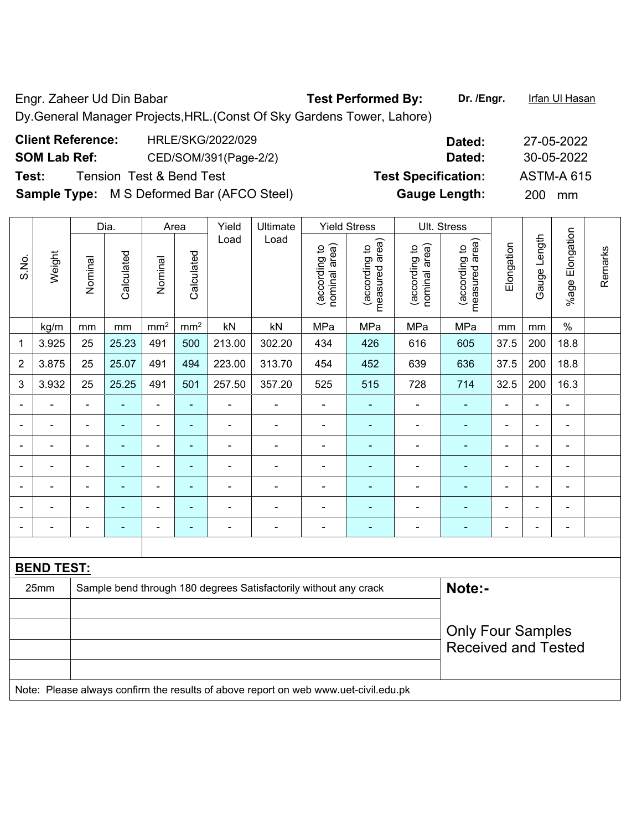Engr. Zaheer Ud Din Babar **Test Performed By:** Dr. /Engr. Infan Ul Hasan Dy.General Manager Projects,HRL.(Const Of Sky Gardens Tower, Lahore)

| <b>Client Reference:</b><br>HRLE/SKG/2022/029     | Dated:                     | 27-05-2022        |
|---------------------------------------------------|----------------------------|-------------------|
| <b>SOM Lab Ref:</b><br>CED/SOM/391(Page-2/2)      | Dated:                     | 30-05-2022        |
| Test:<br><b>Tension Test &amp; Bend Test</b>      | <b>Test Specification:</b> | <b>ASTM-A 615</b> |
| <b>Sample Type:</b> M S Deformed Bar (AFCO Steel) | <b>Gauge Length:</b>       | 200 mm            |

|                |                   |                                                                            | Dia.           |                 | Area                     | Yield          | Ultimate                                                                            |                                | <b>Yield Stress</b>             |                                | Ult. Stress                     |                |                |                 |         |
|----------------|-------------------|----------------------------------------------------------------------------|----------------|-----------------|--------------------------|----------------|-------------------------------------------------------------------------------------|--------------------------------|---------------------------------|--------------------------------|---------------------------------|----------------|----------------|-----------------|---------|
| S.No.          | Weight            | Nominal                                                                    | Calculated     | Nominal         | Calculated               | Load           | Load                                                                                | nominal area)<br>(according to | measured area)<br>(according to | (according to<br>nominal area) | measured area)<br>(according to | Elongation     | Gauge Length   | %age Elongation | Remarks |
|                | kg/m              | $\,mm$                                                                     | mm             | mm <sup>2</sup> | mm <sup>2</sup>          | kN             | kN                                                                                  | MPa                            | MPa                             | MPa                            | MPa                             | mm             | mm             | $\%$            |         |
| 1              | 3.925             | 25                                                                         | 25.23          | 491             | 500                      | 213.00         | 302.20                                                                              | 434                            | 426                             | 616                            | 605                             | 37.5           | 200            | 18.8            |         |
| $\overline{2}$ | 3.875             | 25                                                                         | 25.07          | 491             | 494                      | 223.00         | 313.70                                                                              | 454                            | 452                             | 639                            | 636                             | 37.5           | 200            | 18.8            |         |
| 3              | 3.932             | 25                                                                         | 25.25          | 491             | 501                      | 257.50         | 357.20                                                                              | 525                            | 515                             | 728                            | 714                             | 32.5           | 200            | 16.3            |         |
|                |                   | $\blacksquare$                                                             |                | $\blacksquare$  | $\blacksquare$           |                | $\blacksquare$                                                                      |                                |                                 |                                |                                 |                | $\blacksquare$ | $\blacksquare$  |         |
|                |                   | $\blacksquare$                                                             | $\blacksquare$ | $\blacksquare$  | $\blacksquare$           | ÷              | $\blacksquare$                                                                      | -                              | ÷                               | ۰                              | ÷                               | $\blacksquare$ | $\overline{a}$ | $\blacksquare$  |         |
| ۰              |                   | $\blacksquare$                                                             | $\blacksquare$ | $\blacksquare$  | $\overline{\phantom{a}}$ | ÷,             | $\blacksquare$                                                                      | -                              | $\qquad \qquad \blacksquare$    | ÷,                             | ÷                               | $\blacksquare$ | $\blacksquare$ | $\blacksquare$  |         |
|                | $\blacksquare$    | $\blacksquare$                                                             | $\blacksquare$ | $\blacksquare$  | $\blacksquare$           | $\blacksquare$ | $\blacksquare$                                                                      | $\blacksquare$                 | ۰                               | ä,                             | ٠                               | $\blacksquare$ | $\blacksquare$ | $\blacksquare$  |         |
|                | $\blacksquare$    | $\blacksquare$                                                             | $\blacksquare$ | $\blacksquare$  | $\blacksquare$           | $\blacksquare$ | $\blacksquare$                                                                      | ä,                             | $\blacksquare$                  | ä,                             | $\blacksquare$                  | $\blacksquare$ | $\blacksquare$ | $\blacksquare$  |         |
|                |                   | $\blacksquare$                                                             | $\blacksquare$ | $\blacksquare$  | $\overline{\phantom{a}}$ | $\blacksquare$ | $\blacksquare$                                                                      | $\blacksquare$                 | $\blacksquare$                  | Ě.                             | $\blacksquare$                  |                |                | $\blacksquare$  |         |
|                |                   | $\blacksquare$                                                             |                | $\blacksquare$  | ÷                        | $\blacksquare$ | $\blacksquare$                                                                      | ä,                             | Ē.                              | Ē,                             |                                 | $\blacksquare$ | $\blacksquare$ | $\blacksquare$  |         |
|                |                   |                                                                            |                |                 |                          |                |                                                                                     |                                |                                 |                                |                                 |                |                |                 |         |
|                | <b>BEND TEST:</b> |                                                                            |                |                 |                          |                |                                                                                     |                                |                                 |                                |                                 |                |                |                 |         |
|                | 25mm              | Note:-<br>Sample bend through 180 degrees Satisfactorily without any crack |                |                 |                          |                |                                                                                     |                                |                                 |                                |                                 |                |                |                 |         |
|                |                   |                                                                            |                |                 |                          |                |                                                                                     |                                |                                 |                                |                                 |                |                |                 |         |
|                |                   |                                                                            |                |                 |                          |                |                                                                                     |                                |                                 |                                | <b>Only Four Samples</b>        |                |                |                 |         |
|                |                   |                                                                            |                |                 |                          |                |                                                                                     |                                |                                 |                                | <b>Received and Tested</b>      |                |                |                 |         |
|                |                   |                                                                            |                |                 |                          |                | Note: Please always confirm the results of above report on web www.uet-civil.edu.pk |                                |                                 |                                |                                 |                |                |                 |         |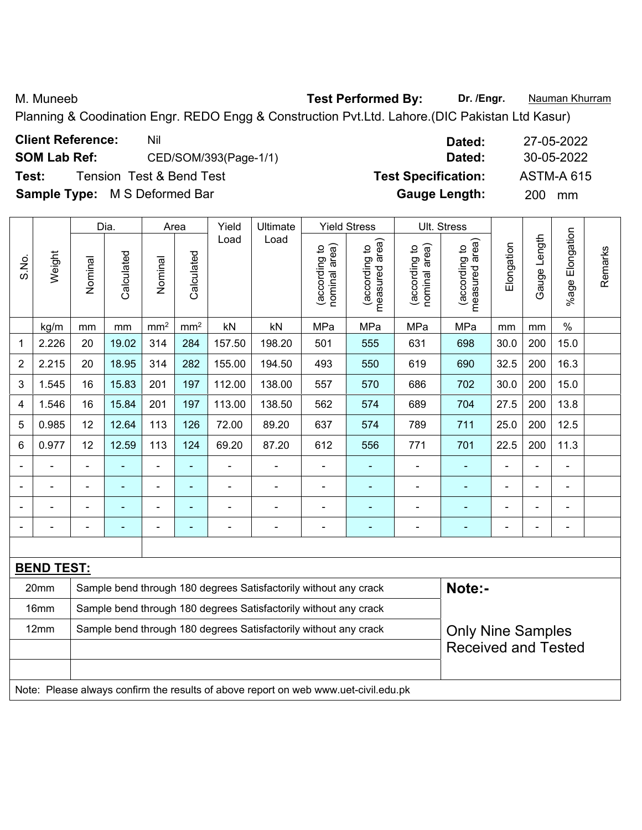M. Muneeb **Test Performed By:** Dr. /Engr. **Nauman Khurram** 

Planning & Coodination Engr. REDO Engg & Construction Pvt.Ltd. Lahore.(DIC Pakistan Ltd Kasur)

| Nil                                  | 27-05-2022<br>Dated:           |                            |
|--------------------------------------|--------------------------------|----------------------------|
| CED/SOM/393(Page-1/1)                | 30-05-2022<br>Dated:           |                            |
| <b>Tension Test &amp; Bend Test</b>  | <b>ASTM-A 615</b>              |                            |
| <b>Sample Type:</b> M S Deformed Bar | <b>Gauge Length:</b><br>200 mm |                            |
|                                      |                                | <b>Test Specification:</b> |

|                |                   |                            | Dia.           |                              | Area            | Yield                    | Ultimate                                                         |                                | <b>Yield Stress</b>             |                                | Ult. Stress                     |                |                |                       |         |
|----------------|-------------------|----------------------------|----------------|------------------------------|-----------------|--------------------------|------------------------------------------------------------------|--------------------------------|---------------------------------|--------------------------------|---------------------------------|----------------|----------------|-----------------------|---------|
| S.No.          | Weight            | Nominal                    | Calculated     | Nominal                      | Calculated      | Load                     | Load                                                             | nominal area)<br>(according to | measured area)<br>(according to | nominal area)<br>(according to | measured area)<br>(according to | Elongation     | Gauge Length   | Elongation<br>$%$ age | Remarks |
|                | kg/m              | mm                         | mm             | mm <sup>2</sup>              | mm <sup>2</sup> | kN                       | kN                                                               | MPa                            | MPa                             | MPa                            | MPa                             | mm             | mm             | $\%$                  |         |
| 1              | 2.226             | 20                         | 19.02          | 314                          | 284             | 157.50                   | 198.20                                                           | 501                            | 555                             | 631                            | 698                             | 30.0           | 200            | 15.0                  |         |
| $\overline{2}$ | 2.215             | 20                         | 18.95          | 314                          | 282             | 155.00                   | 194.50                                                           | 493                            | 550                             | 619                            | 690                             | 32.5           | 200            | 16.3                  |         |
| 3              | 1.545             | 16                         | 15.83          | 201                          | 197             | 112.00                   | 138.00                                                           | 557                            | 570                             | 686                            | 702                             | 30.0           | 200            | 15.0                  |         |
| 4              | 1.546             | 16                         | 15.84          | 201                          | 197             | 113.00                   | 138.50                                                           | 562                            | 574                             | 689                            | 704                             | 27.5           | 200            | 13.8                  |         |
| 5              | 0.985             | 12                         | 12.64          | 113                          | 126             | 72.00                    | 89.20                                                            | 637                            | 574                             | 789                            | 711                             | 25.0           | 200            | 12.5                  |         |
| 6              | 0.977             | 12                         | 12.59          | 113                          | 124             | 69.20                    | 87.20                                                            | 612                            | 556                             | 771                            | 701                             | 22.5           | 200            | 11.3                  |         |
|                | $\blacksquare$    |                            | $\blacksquare$ | $\qquad \qquad \blacksquare$ | $\blacksquare$  | $\overline{a}$           |                                                                  | $\blacksquare$                 | $\blacksquare$                  | ÷,                             |                                 |                | $\blacksquare$ | $\blacksquare$        |         |
|                |                   |                            | $\blacksquare$ | $\blacksquare$               | $\blacksquare$  |                          |                                                                  | $\blacksquare$                 | ۰                               | -                              |                                 |                | $\blacksquare$ | $\blacksquare$        |         |
| ۰              | ۰                 |                            | $\blacksquare$ | ÷                            | $\blacksquare$  | $\blacksquare$           | $\blacksquare$                                                   | $\blacksquare$                 | ٠                               | -                              |                                 | $\blacksquare$ | $\blacksquare$ | $\blacksquare$        |         |
|                |                   |                            | $\blacksquare$ | $\overline{\phantom{0}}$     | ÷               | $\overline{\phantom{a}}$ | $\blacksquare$                                                   | $\qquad \qquad \blacksquare$   | ۰                               | -                              |                                 |                | $\overline{a}$ | $\blacksquare$        |         |
|                |                   |                            |                |                              |                 |                          |                                                                  |                                |                                 |                                |                                 |                |                |                       |         |
|                | <b>BEND TEST:</b> |                            |                |                              |                 |                          |                                                                  |                                |                                 |                                |                                 |                |                |                       |         |
|                | 20mm              |                            |                |                              |                 |                          | Sample bend through 180 degrees Satisfactorily without any crack |                                |                                 |                                | Note:-                          |                |                |                       |         |
|                | 16mm              |                            |                |                              |                 |                          | Sample bend through 180 degrees Satisfactorily without any crack |                                |                                 |                                |                                 |                |                |                       |         |
|                | 12mm              |                            |                |                              |                 |                          | Sample bend through 180 degrees Satisfactorily without any crack |                                |                                 |                                | <b>Only Nine Samples</b>        |                |                |                       |         |
|                |                   | <b>Received and Tested</b> |                |                              |                 |                          |                                                                  |                                |                                 |                                |                                 |                |                |                       |         |

Note: Please always confirm the results of above report on web www.uet-civil.edu.pk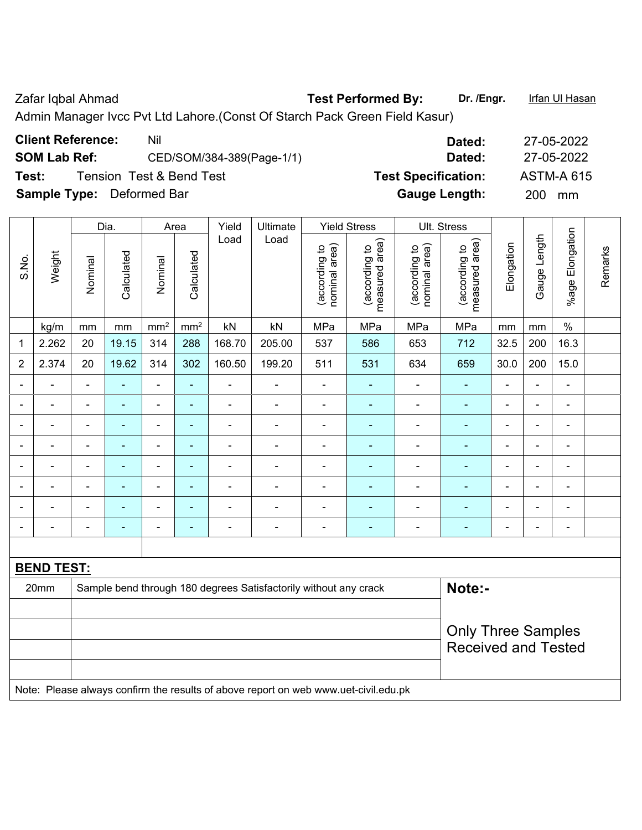Zafar Iqbal Ahmad **Test Performed By:** Dr. /Engr. **Iffan Ul Hasan** 

Admin Manager Ivcc Pvt Ltd Lahore.(Const Of Starch Pack Green Field Kasur)

| Test: | <b>Client Reference:</b><br><b>SOM Lab Ref:</b><br>Sample Type: Deformed Bar |                          | <b>Tension Test &amp; Bend Test</b> | Nil             |                          |        | CED/SOM/384-389(Page-1/1) |                                |                                                   |                                | Dated:<br>Dated:<br><b>Test Specification:</b><br><b>Gauge Length:</b> |                | 200          | 27-05-2022<br>27-05-2022<br><b>ASTM-A 615</b><br>mm |         |
|-------|------------------------------------------------------------------------------|--------------------------|-------------------------------------|-----------------|--------------------------|--------|---------------------------|--------------------------------|---------------------------------------------------|--------------------------------|------------------------------------------------------------------------|----------------|--------------|-----------------------------------------------------|---------|
|       |                                                                              |                          | Dia.                                | Area            |                          | Yield  | Ultimate                  |                                | <b>Yield Stress</b>                               | Ult. Stress                    |                                                                        |                |              |                                                     |         |
| S.No. | Weight                                                                       | Nominal                  | Calculated                          | Nominal         | Calculated               | Load   | Load                      | nominal area)<br>(according to | area)<br>$\overline{c}$<br>(according<br>measured | nominal area)<br>(according to | area)<br>(according to<br>measured                                     | Elongation     | Gauge Length | Elongation<br>$%$ age                               | Remarks |
|       | kg/m                                                                         | mm                       | mm                                  | mm <sup>2</sup> | mm <sup>2</sup>          | kN     | kN                        | MPa                            | MPa                                               | MPa                            | MPa                                                                    | mm             | mm           | $\%$                                                |         |
| 1     | 2.262                                                                        | 20                       | 19.15                               | 314             | 288                      | 168.70 | 205.00                    | 537                            | 586                                               | 653                            | 712                                                                    | 32.5           | 200          | 16.3                                                |         |
| 2     | 2.374                                                                        | 20                       | 19.62                               | 314             | 302                      | 160.50 | 199.20                    | 511                            | 531                                               | 634                            | 659                                                                    | 30.0           | 200          | 15.0                                                |         |
|       |                                                                              | $\overline{\phantom{0}}$ | ۰                                   |                 | ٠                        |        |                           |                                | ٠                                                 |                                |                                                                        | $\blacksquare$ |              | $\overline{\phantom{0}}$                            |         |
|       |                                                                              |                          |                                     |                 |                          |        |                           |                                |                                                   |                                |                                                                        |                |              | $\blacksquare$                                      |         |
|       |                                                                              |                          | $\blacksquare$                      |                 | $\blacksquare$           |        |                           |                                | -                                                 |                                |                                                                        | -              |              | $\blacksquare$                                      |         |
|       |                                                                              | $\overline{\phantom{0}}$ | $\blacksquare$                      | $\blacksquare$  | $\overline{\phantom{0}}$ |        |                           | $\overline{\phantom{0}}$       | -                                                 |                                |                                                                        | $\blacksquare$ |              | $\blacksquare$                                      |         |
|       |                                                                              |                          |                                     |                 |                          |        |                           |                                |                                                   |                                |                                                                        |                |              |                                                     |         |

| <b>BEND TEST:</b> |  |  |                                                                                     |  |                            |  |  |
|-------------------|--|--|-------------------------------------------------------------------------------------|--|----------------------------|--|--|
| 20 <sub>mm</sub>  |  |  | Sample bend through 180 degrees Satisfactorily without any crack                    |  | Note:-                     |  |  |
|                   |  |  |                                                                                     |  |                            |  |  |
|                   |  |  |                                                                                     |  | <b>Only Three Samples</b>  |  |  |
|                   |  |  |                                                                                     |  | <b>Received and Tested</b> |  |  |
|                   |  |  |                                                                                     |  |                            |  |  |
|                   |  |  | Note: Please always confirm the results of above report on web www.uet-civil.edu.pk |  |                            |  |  |

- - - - - - - - - - - - - - - - - - - - - - - - - - - - - -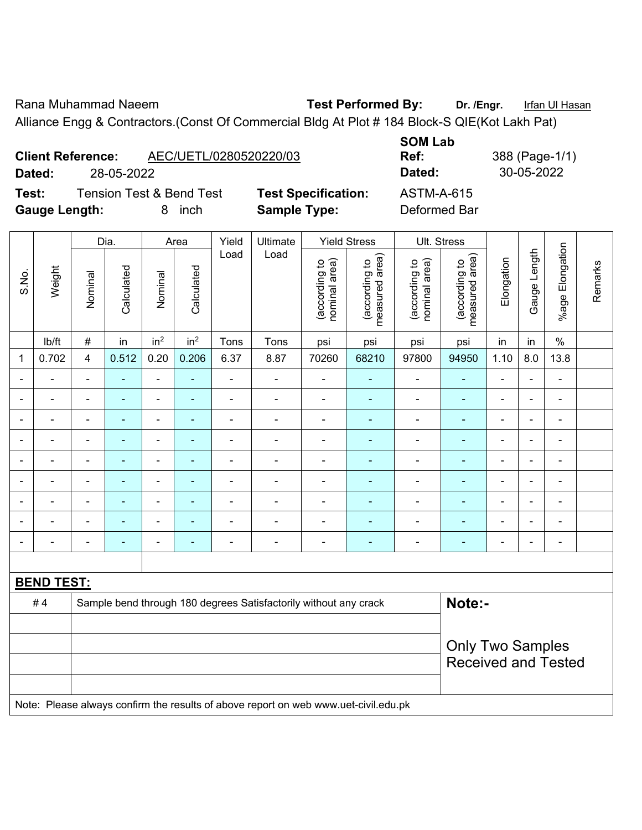Rana Muhammad Naeem **Test Performed By:** Dr. /Engr. Infan Ul Hasan Alliance Engg & Contractors.(Const Of Commercial Bldg At Plot # 184 Block-S QIE(Kot Lakh Pat)

**Client Reference:** AEC/UETL/0280520220/03 **Dated:** 28-05-2022 **Dated:** 30-05-2022

**Test:** Tension Test & Bend Test **Test Specification:** ASTM-A-615 **Gauge Length:** 8 inch **Sample Type:** Deformed Bar

**SOM Lab** 

**Ref:** 388 (Page-1/1)

|                          |                   |                         | Dia.           |                 | Area            | Yield          | Ultimate                                                                            |                                | <b>Yield Stress</b>             |                                | Ult. Stress                                           |                |                |                              |         |
|--------------------------|-------------------|-------------------------|----------------|-----------------|-----------------|----------------|-------------------------------------------------------------------------------------|--------------------------------|---------------------------------|--------------------------------|-------------------------------------------------------|----------------|----------------|------------------------------|---------|
| S.No.                    | Weight            | Nominal                 | Calculated     | Nominal         | Calculated      | Load           | Load                                                                                | nominal area)<br>(according to | (according to<br>measured area) | nominal area)<br>(according to | (according to<br>measured area)                       | Elongation     | Gauge Length   | Elongation<br>$%$ age        | Remarks |
|                          | lb/ft             | $\#$                    | in             | in <sup>2</sup> | in <sup>2</sup> | Tons           | Tons                                                                                | psi                            | psi                             | psi                            | psi                                                   | in             | in             | $\%$                         |         |
| $\mathbf 1$              | 0.702             | $\overline{\mathbf{4}}$ | 0.512          | 0.20            | 0.206           | 6.37           | 8.87                                                                                | 70260                          | 68210                           | 97800                          | 94950                                                 | 1.10           | 8.0            | 13.8                         |         |
| $\overline{\phantom{0}}$ | $\blacksquare$    | $\blacksquare$          | ä,             | ÷,              | $\blacksquare$  | $\blacksquare$ | ÷                                                                                   | $\blacksquare$                 | ۰                               | ÷,                             | $\blacksquare$                                        | ä,             | $\blacksquare$ | $\overline{\phantom{a}}$     |         |
|                          |                   | $\blacksquare$          | $\frac{1}{2}$  | ÷,              | $\blacksquare$  | $\blacksquare$ | ÷                                                                                   | $\frac{1}{2}$                  | ۰                               | $\blacksquare$                 | $\blacksquare$                                        | ä,             |                | $\overline{\phantom{0}}$     |         |
|                          |                   | $\blacksquare$          | ۰              | $\blacksquare$  |                 | $\blacksquare$ | ÷                                                                                   | $\blacksquare$                 | $\blacksquare$                  | $\blacksquare$                 | $\blacksquare$                                        | $\blacksquare$ |                | -                            |         |
|                          |                   | $\blacksquare$          | $\blacksquare$ | $\blacksquare$  | ٠               | ä,             | ÷                                                                                   | $\blacksquare$                 |                                 | ÷                              | $\blacksquare$                                        | $\blacksquare$ | $\blacksquare$ | $\overline{\phantom{a}}$     |         |
|                          |                   | $\blacksquare$          | $\blacksquare$ | $\blacksquare$  | $\blacksquare$  | ä,             | ÷                                                                                   | $\blacksquare$                 |                                 | $\overline{\phantom{a}}$       | L,                                                    | $\blacksquare$ | $\blacksquare$ | $\overline{\phantom{a}}$     |         |
|                          | $\blacksquare$    | ä,                      | $\blacksquare$ | $\blacksquare$  | $\blacksquare$  | L,             | ä,                                                                                  | $\blacksquare$                 |                                 | ä,                             | $\blacksquare$                                        | ä,             | $\blacksquare$ | ÷,                           |         |
|                          |                   | ä,                      | ÷,             | ÷,              | $\blacksquare$  | L,             | ÷                                                                                   | $\blacksquare$                 |                                 | ÷,                             | ÷,                                                    | ä,             |                | ÷,                           |         |
|                          |                   |                         |                | $\blacksquare$  |                 |                | $\blacksquare$                                                                      | $\blacksquare$                 |                                 | $\overline{\phantom{a}}$       |                                                       |                |                | ÷,                           |         |
|                          |                   | $\blacksquare$          | $\blacksquare$ | $\blacksquare$  | $\blacksquare$  |                | ÷                                                                                   | $\overline{\phantom{a}}$       | $\blacksquare$                  | ×,                             | ٠                                                     | $\blacksquare$ | $\blacksquare$ | $\qquad \qquad \blacksquare$ |         |
|                          |                   |                         |                |                 |                 |                |                                                                                     |                                |                                 |                                |                                                       |                |                |                              |         |
|                          | <b>BEND TEST:</b> |                         |                |                 |                 |                |                                                                                     |                                |                                 |                                |                                                       |                |                |                              |         |
|                          | #4                |                         |                |                 |                 |                | Sample bend through 180 degrees Satisfactorily without any crack                    |                                |                                 |                                | Note:-                                                |                |                |                              |         |
|                          |                   |                         |                |                 |                 |                |                                                                                     |                                |                                 |                                |                                                       |                |                |                              |         |
|                          |                   |                         |                |                 |                 |                |                                                                                     |                                |                                 |                                | <b>Only Two Samples</b><br><b>Received and Tested</b> |                |                |                              |         |
|                          |                   |                         |                |                 |                 |                |                                                                                     |                                |                                 |                                |                                                       |                |                |                              |         |
|                          |                   |                         |                |                 |                 |                | Note: Please always confirm the results of above report on web www.uet-civil.edu.pk |                                |                                 |                                |                                                       |                |                |                              |         |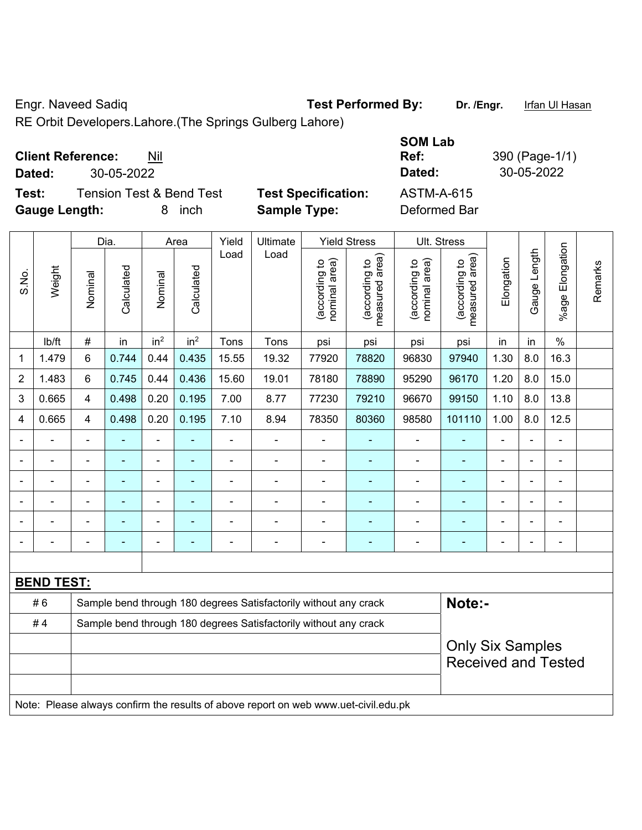Engr. Naveed Sadiq **Test Performed By: Dr. /Engr.** Irfan Ul Hasan

RE Orbit Developers.Lahore.(The Springs Gulberg Lahore)

| <b>Client Reference:</b><br>Nil |
|---------------------------------|
|---------------------------------|

**Test:** Tension Test & Bend Test **Test Specification:** ASTM-A-615 **Gauge Length:** 8 inch **Sample Type:** Deformed Bar

**SOM Lab Ref:** 390 (Page-1/1) **Dated:** 30-05-2022 **Dated:** 30-05-2022

|                |                   | Dia.<br>Yield<br>Ultimate<br><b>Yield Stress</b><br>Area         |                |                 |                 |                |                                                                                     |                               |                                 |                                | Ult. Stress                     |                |                |                       |         |
|----------------|-------------------|------------------------------------------------------------------|----------------|-----------------|-----------------|----------------|-------------------------------------------------------------------------------------|-------------------------------|---------------------------------|--------------------------------|---------------------------------|----------------|----------------|-----------------------|---------|
| S.No.          | Weight            | Nominal                                                          | Calculated     | Nominal         | Calculated      | Load           | Load                                                                                | nominal area)<br>according to | (according to<br>measured area) | (according to<br>nominal area) | (according to<br>measured area) | Elongation     | Gauge Length   | Elongation<br>$%$ age | Remarks |
|                | lb/ft             | $\#$                                                             | in             | in <sup>2</sup> | in <sup>2</sup> | Tons           | Tons                                                                                | psi                           | psi                             | psi                            | psi                             | in             | in             | $\%$                  |         |
| 1              | 1.479             | 6                                                                | 0.744          | 0.44            | 0.435           | 15.55          | 19.32                                                                               | 77920                         | 78820                           | 96830                          | 97940                           | 1.30           | 8.0            | 16.3                  |         |
| $\overline{2}$ | 1.483             | $6\phantom{1}$                                                   | 0.745          | 0.44            | 0.436           | 15.60          | 19.01                                                                               | 78180                         | 78890                           | 95290                          | 96170                           | 1.20           | 8.0            | 15.0                  |         |
| 3              | 0.665             | $\overline{4}$                                                   | 0.498          | 0.20            | 0.195           | 7.00           | 8.77                                                                                | 77230                         | 79210                           | 96670                          | 99150                           | 1.10           | 8.0            | 13.8                  |         |
| 4              | 0.665             | $\overline{\mathbf{4}}$                                          | 0.498          | 0.20            | 0.195           | 7.10           | 8.94                                                                                | 78350                         | 80360                           | 98580                          | 101110                          | 1.00           | 8.0            | 12.5                  |         |
| $\blacksquare$ | $\blacksquare$    | $\blacksquare$                                                   | $\blacksquare$ | ÷,              | ۰               | $\blacksquare$ | $\blacksquare$                                                                      | $\blacksquare$                | $\blacksquare$                  | $\blacksquare$                 | $\blacksquare$                  | $\blacksquare$ | $\blacksquare$ | $\blacksquare$        |         |
|                |                   | $\blacksquare$                                                   | $\blacksquare$ | $\blacksquare$  | ۰               | ä,             | ä,                                                                                  | $\blacksquare$                | ÷                               | $\blacksquare$                 | ÷                               | ä,             | $\blacksquare$ | ä,                    |         |
|                |                   |                                                                  |                | ä,              |                 | Ē,             | ÷                                                                                   | ä,                            | ä,                              | $\blacksquare$                 | ٠                               | Ě.             |                |                       |         |
|                |                   |                                                                  |                | $\overline{a}$  |                 |                | ÷                                                                                   | $\blacksquare$                |                                 |                                |                                 |                |                | ٠                     |         |
|                |                   | $\blacksquare$                                                   |                | ÷               |                 |                | $\blacksquare$                                                                      | $\blacksquare$                | ÷,                              | $\blacksquare$                 |                                 | $\blacksquare$ | $\blacksquare$ | $\blacksquare$        |         |
|                |                   |                                                                  |                | -               | ۰               | ٠              | $\blacksquare$                                                                      | $\overline{a}$                | ٠                               | $\blacksquare$                 | $\blacksquare$                  | L.             |                | ٠                     |         |
|                |                   |                                                                  |                |                 |                 |                |                                                                                     |                               |                                 |                                |                                 |                |                |                       |         |
|                | <b>BEND TEST:</b> |                                                                  |                |                 |                 |                |                                                                                     |                               |                                 |                                |                                 |                |                |                       |         |
|                | #6                |                                                                  |                |                 |                 |                | Sample bend through 180 degrees Satisfactorily without any crack                    |                               |                                 |                                | Note:-                          |                |                |                       |         |
|                | #4                | Sample bend through 180 degrees Satisfactorily without any crack |                |                 |                 |                |                                                                                     |                               |                                 |                                |                                 |                |                |                       |         |
|                |                   |                                                                  |                |                 |                 |                |                                                                                     |                               |                                 |                                | <b>Only Six Samples</b>         |                |                |                       |         |
|                |                   |                                                                  |                |                 |                 |                |                                                                                     |                               |                                 |                                | <b>Received and Tested</b>      |                |                |                       |         |
|                |                   |                                                                  |                |                 |                 |                |                                                                                     |                               |                                 |                                |                                 |                |                |                       |         |
|                |                   |                                                                  |                |                 |                 |                | Note: Please always confirm the results of above report on web www.uet-civil.edu.pk |                               |                                 |                                |                                 |                |                |                       |         |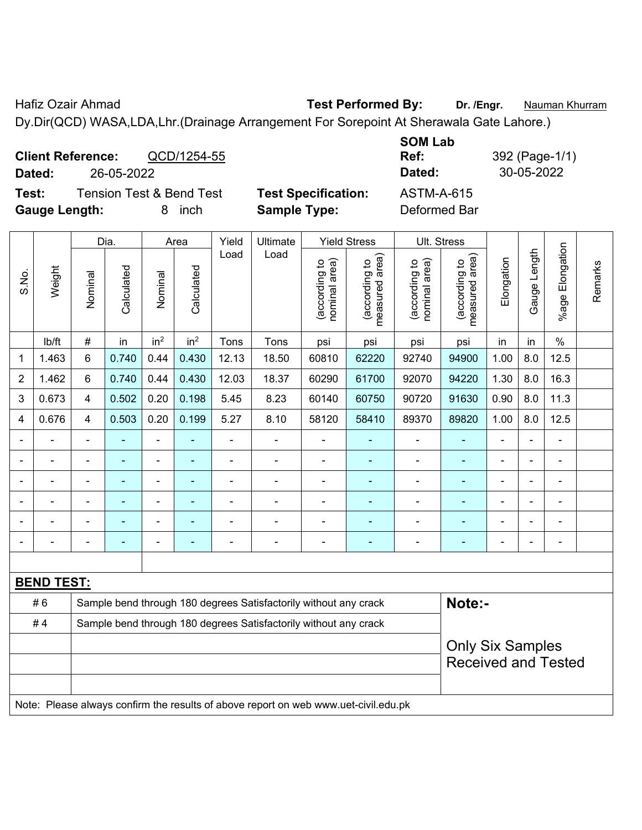Hafiz Ozair Ahmad **Test Performed By: Dr. /Engr.** Nauman Khurram Dy.Dir(QCD) WASA,LDA,Lhr.(Drainage Arrangement For Sorepoint At Sherawala Gate Lahore.)

**Client Reference:** QCD/1254-55 **SOM Lab Ref:** 392 (Page-1/1) **Dated:** 26-05-2022 **Dated:** 30-05-2022 **Test:** Tension Test & Bend Test **Test Specification:** ASTM-A-615 **Gauge Length:** 8 inch **Sample Type:** Deformed Bar

|                |                   |                                                                                     | Dia.                                                                                            |                          | Area                                                                                                                             | Yield          | Ultimate                                                         |                                | <b>Yield Stress</b>             |                                | Ult. Stress                     |                |              |                 |         |
|----------------|-------------------|-------------------------------------------------------------------------------------|-------------------------------------------------------------------------------------------------|--------------------------|----------------------------------------------------------------------------------------------------------------------------------|----------------|------------------------------------------------------------------|--------------------------------|---------------------------------|--------------------------------|---------------------------------|----------------|--------------|-----------------|---------|
| S.No.          | Weight            | Nominal                                                                             | Calculated                                                                                      | Nominal                  | Calculated                                                                                                                       | Load           | Load                                                             | nominal area)<br>(according to | measured area)<br>(according to | nominal area)<br>(according to | measured area)<br>(according to | Elongation     | Gauge Length | %age Elongation | Remarks |
|                | Ib/ft             | $\#$                                                                                | in                                                                                              | in <sup>2</sup>          | in <sup>2</sup>                                                                                                                  | Tons           | Tons                                                             | psi                            | psi                             | psi                            | psi                             | in             | in           | $\frac{0}{0}$   |         |
| 1              | 1.463             | 6                                                                                   | 0.740                                                                                           | 0.44                     | 0.430                                                                                                                            | 12.13          | 18.50                                                            | 60810                          | 62220                           | 92740                          | 94900                           | 1.00           | 8.0          | 12.5            |         |
| $\overline{2}$ | 1.462             | 6                                                                                   | 0.740                                                                                           | 0.44                     | 0.430                                                                                                                            | 12.03          | 18.37                                                            | 60290                          | 61700                           | 92070                          | 94220                           | 1.30           | 8.0          | 16.3            |         |
| 3              | 0.673             | 4                                                                                   | 0.502                                                                                           | 0.20                     | 0.198                                                                                                                            | 5.45           | 8.23                                                             | 60140                          | 60750                           | 90720                          | 91630                           | 0.90           | 8.0          | 11.3            |         |
| 4              | 0.676             | 4                                                                                   | 0.503                                                                                           | 0.20                     | 0.199                                                                                                                            | 5.27           | 8.10                                                             | 58120                          | 58410                           | 89370                          | 89820                           | 1.00           | 8.0          | 12.5            |         |
|                | $\blacksquare$    | ä,                                                                                  | ÷,                                                                                              | $\blacksquare$           |                                                                                                                                  | $\blacksquare$ | $\blacksquare$                                                   | $\blacksquare$                 |                                 | $\blacksquare$                 | $\blacksquare$                  | ä,             |              | $\blacksquare$  |         |
|                | $\blacksquare$    | ä,                                                                                  | ÷,                                                                                              | $\overline{a}$           | ä,<br>$\blacksquare$<br>$\blacksquare$<br>$\blacksquare$<br>$\blacksquare$<br>$\blacksquare$<br>$\blacksquare$<br>$\blacksquare$ |                |                                                                  |                                |                                 |                                |                                 |                |              |                 |         |
|                | $\blacksquare$    | -                                                                                   | $\blacksquare$<br>ä,<br>$\blacksquare$<br>$\blacksquare$<br>÷<br>L,<br>÷<br>۰<br>$\blacksquare$ |                          |                                                                                                                                  |                |                                                                  |                                |                                 |                                |                                 |                |              |                 |         |
|                |                   |                                                                                     |                                                                                                 |                          |                                                                                                                                  |                |                                                                  |                                |                                 |                                |                                 |                |              |                 |         |
|                |                   |                                                                                     |                                                                                                 |                          |                                                                                                                                  |                |                                                                  |                                |                                 |                                |                                 |                |              |                 |         |
|                |                   | $\blacksquare$                                                                      | ۰                                                                                               | $\overline{\phantom{0}}$ | ٠                                                                                                                                |                | $\blacksquare$                                                   | $\blacksquare$                 | $\blacksquare$                  | $\blacksquare$                 | ÷,                              | $\blacksquare$ |              | $\blacksquare$  |         |
|                |                   |                                                                                     |                                                                                                 |                          |                                                                                                                                  |                |                                                                  |                                |                                 |                                |                                 |                |              |                 |         |
|                | <b>BEND TEST:</b> |                                                                                     |                                                                                                 |                          |                                                                                                                                  |                |                                                                  |                                |                                 |                                |                                 |                |              |                 |         |
|                | #6                |                                                                                     |                                                                                                 |                          |                                                                                                                                  |                | Sample bend through 180 degrees Satisfactorily without any crack |                                |                                 |                                | Note:-                          |                |              |                 |         |
|                | #4                | Sample bend through 180 degrees Satisfactorily without any crack                    |                                                                                                 |                          |                                                                                                                                  |                |                                                                  |                                |                                 |                                |                                 |                |              |                 |         |
|                |                   |                                                                                     |                                                                                                 |                          |                                                                                                                                  |                |                                                                  |                                |                                 |                                | <b>Only Six Samples</b>         |                |              |                 |         |
|                |                   |                                                                                     |                                                                                                 |                          |                                                                                                                                  |                |                                                                  |                                |                                 |                                | <b>Received and Tested</b>      |                |              |                 |         |
|                |                   |                                                                                     |                                                                                                 |                          |                                                                                                                                  |                |                                                                  |                                |                                 |                                |                                 |                |              |                 |         |
|                |                   | Note: Please always confirm the results of above report on web www.uet-civil.edu.pk |                                                                                                 |                          |                                                                                                                                  |                |                                                                  |                                |                                 |                                |                                 |                |              |                 |         |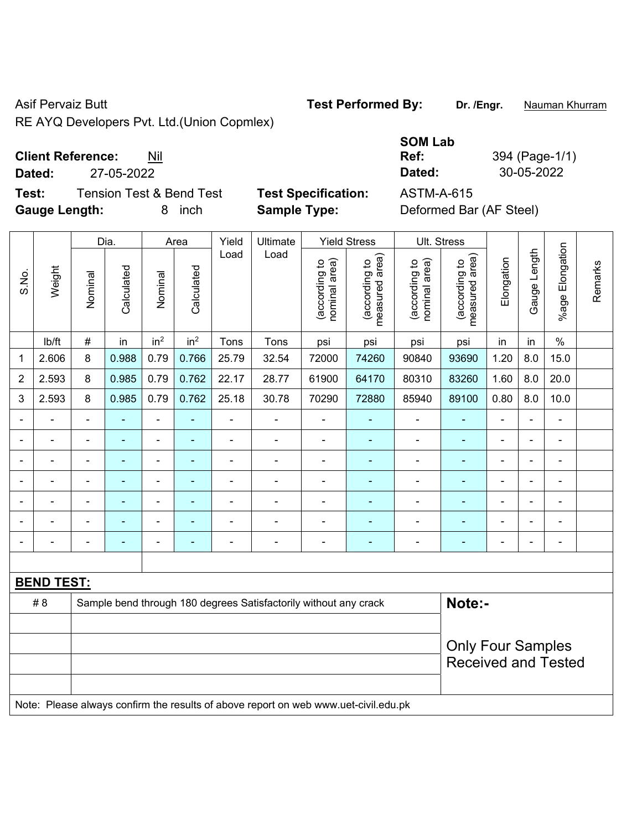RE AY

## **Client Reference:** Nil

**Test:** Tension Test & Bend Test **Test Specification:** ASTM-A-615 **Gauge Length:** 8 inch **Sample Type:** Deformed Bar (AF Steel)

|                   | 'Q Developers Pvt. Ltd.(Union Copmlex) |
|-------------------|----------------------------------------|
| <b>Defevence:</b> |                                        |

**SOM Lab Ref:** 394 (Page-1/1) **Dated:** 27-05-2022 **Dated:** 30-05-2022

|                          |                   |                                                                            | Dia.           |                 | Area            | Yield                    | Ultimate                                                                            |                               | <b>Yield Stress</b>             |                                | Ult. Stress                     |                          |                          |                          |         |
|--------------------------|-------------------|----------------------------------------------------------------------------|----------------|-----------------|-----------------|--------------------------|-------------------------------------------------------------------------------------|-------------------------------|---------------------------------|--------------------------------|---------------------------------|--------------------------|--------------------------|--------------------------|---------|
| S.No.                    | Weight            | Nominal                                                                    | Calculated     | Nominal         | Calculated      | Load                     | Load                                                                                | nominal area)<br>according to | measured area)<br>(according to | (according to<br>nominal area) | (according to<br>measured area) | Elongation               | Gauge Length             | %age Elongation          | Remarks |
|                          | lb/ft             | $\#$                                                                       | in             | in <sup>2</sup> | in <sup>2</sup> | Tons                     | Tons                                                                                | psi                           | psi                             | psi                            | psi                             | in                       | in                       | $\%$                     |         |
| 1                        | 2.606             | 8                                                                          | 0.988          | 0.79            | 0.766           | 25.79                    | 32.54                                                                               | 72000                         | 74260                           | 90840                          | 93690                           | 1.20                     | 8.0                      | 15.0                     |         |
| $\overline{2}$           | 2.593             | 8                                                                          | 0.985          | 0.79            | 0.762           | 22.17                    | 28.77                                                                               | 61900                         | 64170                           | 80310                          | 83260                           | 1.60                     | 8.0                      | 20.0                     |         |
| 3                        | 2.593             | 8                                                                          | 0.985          | 0.79            | 0.762           | 25.18                    | 30.78                                                                               | 70290                         | 72880                           | 85940                          | 89100                           | 0.80                     | 8.0                      | 10.0                     |         |
|                          |                   |                                                                            |                |                 |                 |                          | ÷                                                                                   | L,                            |                                 |                                |                                 |                          |                          | $\blacksquare$           |         |
| $\overline{\phantom{a}}$ | ÷                 | $\blacksquare$                                                             | ۰              | ÷               | $\blacksquare$  | ÷,                       | $\frac{1}{2}$                                                                       | $\overline{\phantom{a}}$      | $\blacksquare$                  | $\qquad \qquad \blacksquare$   | $\blacksquare$                  | $\overline{a}$           | $\overline{\phantom{a}}$ | $\overline{\phantom{0}}$ |         |
|                          | ÷                 | $\blacksquare$                                                             | ä,             | ÷               | ٠               | $\blacksquare$           | $\blacksquare$                                                                      | $\blacksquare$                | $\blacksquare$                  | $\overline{\phantom{a}}$       | ٠                               | $\blacksquare$           | $\blacksquare$           | $\blacksquare$           |         |
| $\overline{\phantom{0}}$ | ä,                | $\blacksquare$                                                             | ۰              | ÷               | $\blacksquare$  | $\blacksquare$           | $\frac{1}{2}$                                                                       | $\overline{\phantom{a}}$      | ÷                               | $\qquad \qquad \blacksquare$   | ä,                              | $\blacksquare$           | $\blacksquare$           | $\blacksquare$           |         |
|                          | $\blacksquare$    | $\blacksquare$                                                             | $\blacksquare$ | $\blacksquare$  | ÷               | ÷,                       | $\frac{1}{2}$                                                                       | $\blacksquare$                | ٠                               | $\qquad \qquad \blacksquare$   | $\blacksquare$                  | $\blacksquare$           |                          | $\blacksquare$           |         |
|                          |                   |                                                                            |                | $\blacksquare$  |                 | $\blacksquare$           | $\blacksquare$                                                                      | Ē,                            |                                 | $\blacksquare$                 | $\blacksquare$                  |                          |                          | $\blacksquare$           |         |
|                          |                   |                                                                            | ۰              |                 |                 | $\overline{\phantom{0}}$ | $\blacksquare$                                                                      | $\blacksquare$                | ٠                               | $\overline{\phantom{0}}$       | $\blacksquare$                  | $\overline{\phantom{0}}$ |                          | $\blacksquare$           |         |
|                          |                   |                                                                            |                |                 |                 |                          |                                                                                     |                               |                                 |                                |                                 |                          |                          |                          |         |
|                          | <b>BEND TEST:</b> |                                                                            |                |                 |                 |                          |                                                                                     |                               |                                 |                                |                                 |                          |                          |                          |         |
|                          | # 8               | Note:-<br>Sample bend through 180 degrees Satisfactorily without any crack |                |                 |                 |                          |                                                                                     |                               |                                 |                                |                                 |                          |                          |                          |         |
|                          |                   |                                                                            |                |                 |                 |                          |                                                                                     |                               |                                 |                                |                                 |                          |                          |                          |         |
|                          |                   |                                                                            |                |                 |                 |                          |                                                                                     |                               |                                 |                                | <b>Only Four Samples</b>        |                          |                          |                          |         |
|                          |                   |                                                                            |                |                 |                 |                          |                                                                                     |                               |                                 |                                | <b>Received and Tested</b>      |                          |                          |                          |         |
|                          |                   |                                                                            |                |                 |                 |                          |                                                                                     |                               |                                 |                                |                                 |                          |                          |                          |         |
|                          |                   |                                                                            |                |                 |                 |                          | Note: Please always confirm the results of above report on web www.uet-civil.edu.pk |                               |                                 |                                |                                 |                          |                          |                          |         |

Asif Pervaiz Butt **Test Performed By:** Dr. /Engr. **Nauman Khurram**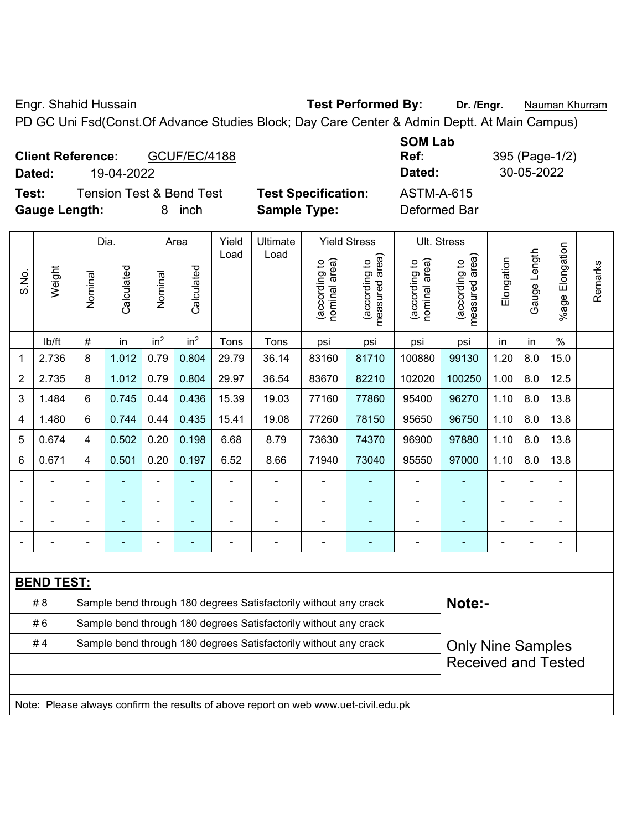Engr. Shahid Hussain **Test Performed By: Dr. /Engr.** Nauman Khurram PD GC Uni Fsd(Const.Of Advance Studies Block; Day Care Center & Admin Deptt. At Main Campus)

**Client Reference:** GCUF/EC/4188 **Dated:** 19-04-2022 **Dated:** 30-05-2022 **Test:** Tension Test & Bend Test **Test Specification:** ASTM-A-615

**Gauge Length:** 8 inch **Sample Type:** Deformed Bar

S.No.

**SOM Lab** 

**Ref:** 395 (Page-1/2)

|                |                    |         | Dia.       |                 | Area            | Yield          | Ultimate |                                     | <b>Yield Stress</b>                 | Ult. Stress                         |                                     |            |                     |                    |         |
|----------------|--------------------|---------|------------|-----------------|-----------------|----------------|----------|-------------------------------------|-------------------------------------|-------------------------------------|-------------------------------------|------------|---------------------|--------------------|---------|
| S.No.          | Weight             | Nominal | Calculated | Nominal         | Calculated      | Load           | Load     | area)<br>ᅌ<br>(according<br>nominal | area)<br>ą<br>according<br>measured | area)<br>유<br>(according<br>nominal | area)<br>ą<br>according<br>measured | Elongation | ength<br>⊐<br>Gauge | Elongation<br>%age | Remarks |
|                | I <sub>b</sub> /ft | #       | in         | in <sup>2</sup> | in <sup>2</sup> | Tons           | Tons     | psi                                 | psi                                 | psi                                 | psi                                 | <i>in</i>  | in                  | $\%$               |         |
| 1              | 2.736              | 8       | 1.012      | 0.79            | 0.804           | 29.79          | 36.14    | 83160                               | 81710                               | 100880                              | 99130                               | 1.20       | 8.0                 | 15.0               |         |
| $\overline{2}$ | 2.735              | 8       | 1.012      | 0.79            | 0.804           | 29.97          | 36.54    | 83670                               | 82210                               | 102020                              | 100250                              | 1.00       | 8.0                 | 12.5               |         |
| 3              | 1.484              | 6       | 0.745      | 0.44            | 0.436           | 15.39          | 19.03    | 77160                               | 77860                               | 95400                               | 96270                               | 1.10       | 8.0                 | 13.8               |         |
| 4              | 1.480              | 6       | 0.744      | 0.44            | 0.435           | 15.41          | 19.08    | 77260                               | 78150                               | 95650                               | 96750                               | 1.10       | 8.0                 | 13.8               |         |
| 5              | 0.674              | 4       | 0.502      | 0.20            | 0.198           | 6.68           | 8.79     | 73630                               | 74370                               | 96900                               | 97880                               | 1.10       | 8.0                 | 13.8               |         |
| 6              | 0.671              | 4       | 0.501      | 0.20            | 0.197           | 6.52           | 8.66     | 71940                               | 73040                               | 95550                               | 97000                               | 1.10       | 8.0                 | 13.8               |         |
| Ξ.             |                    |         |            | ٠               |                 | $\blacksquare$ |          |                                     |                                     |                                     |                                     | ۰          |                     | $\blacksquare$     |         |
| -              |                    |         |            |                 |                 |                |          |                                     |                                     |                                     |                                     |            |                     |                    |         |

| <b>BEND TEST:</b><br>Note:-<br># 8<br>Sample bend through 180 degrees Satisfactorily without any crack<br>#6<br>Sample bend through 180 degrees Satisfactorily without any crack |  |                                                                  |  |  |  |                          |  |                                                                                     |  |                            |  |  |  |  |
|----------------------------------------------------------------------------------------------------------------------------------------------------------------------------------|--|------------------------------------------------------------------|--|--|--|--------------------------|--|-------------------------------------------------------------------------------------|--|----------------------------|--|--|--|--|
|                                                                                                                                                                                  |  |                                                                  |  |  |  |                          |  |                                                                                     |  |                            |  |  |  |  |
| #4                                                                                                                                                                               |  | Sample bend through 180 degrees Satisfactorily without any crack |  |  |  | <b>Only Nine Samples</b> |  |                                                                                     |  |                            |  |  |  |  |
|                                                                                                                                                                                  |  |                                                                  |  |  |  |                          |  |                                                                                     |  | <b>Received and Tested</b> |  |  |  |  |
|                                                                                                                                                                                  |  |                                                                  |  |  |  |                          |  |                                                                                     |  |                            |  |  |  |  |
|                                                                                                                                                                                  |  |                                                                  |  |  |  |                          |  | Note: Please always confirm the results of above report on web www.uet-civil.edu.pk |  |                            |  |  |  |  |

- - - - - - - - - - - - - - -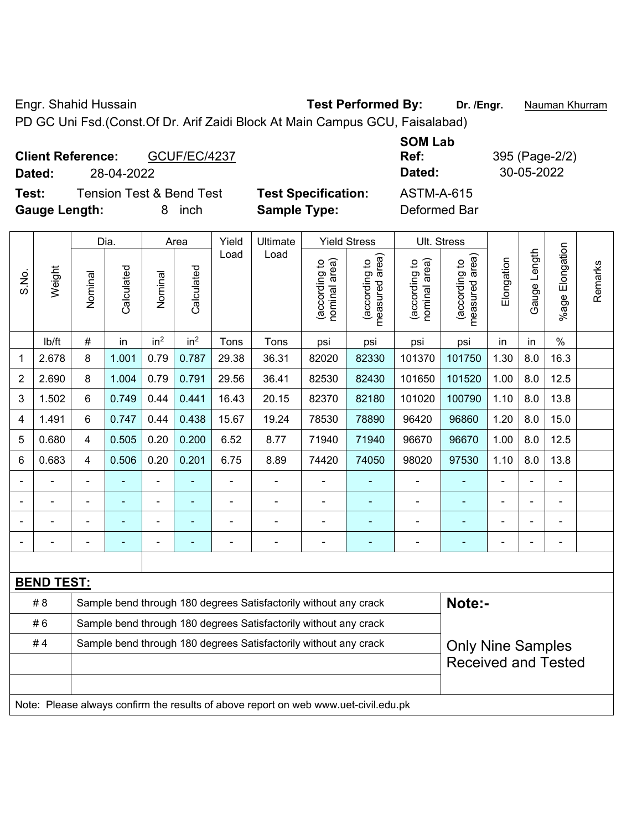Engr. Shahid Hussain **Test Performed By:** Dr. /Engr. **Nauman Khurram** PD GC Uni Fsd.(Const.Of Dr. Arif Zaidi Block At Main Campus GCU, Faisalabad)

|        | <b>Client Reference:</b> | GCUF/EC/4237             |                            | <b>SOM Lab</b><br>Ref: |
|--------|--------------------------|--------------------------|----------------------------|------------------------|
| Dated: | 28-04-2022               |                          |                            | Dated:                 |
| Test:  |                          | Tension Test & Bend Test | <b>Test Specification:</b> | ASTM-A-615             |

| 1 CJ L.              | TEIBIUT TESLOX DETIUT ESL |        | <b>IGSL OPGUILLATION.</b> | <b>UU UTA-U I</b> U |
|----------------------|---------------------------|--------|---------------------------|---------------------|
| <b>Gauge Length:</b> |                           | 8 inch | <b>Sample Type:</b>       | Deformed Bar        |

**Ref:** 395 (Page-2/2) **Dated:** 28-04-2022 **Dated:** 30-05-2022

|                |                   |                                                                            | Dia.       |                 | Area            | Yield | Ultimate                                                         | <b>Yield Stress</b>            | Ult. Stress                     |                                |                                    |                |                          |                       |         |
|----------------|-------------------|----------------------------------------------------------------------------|------------|-----------------|-----------------|-------|------------------------------------------------------------------|--------------------------------|---------------------------------|--------------------------------|------------------------------------|----------------|--------------------------|-----------------------|---------|
| S.No.          | Weight            | Nominal                                                                    | Calculated | Nominal         | Calculated      | Load  | Load                                                             | nominal area)<br>(according to | measured area)<br>(according to | (according to<br>nominal area) | area)<br>(according to<br>measured | Elongation     | Gauge Length             | Elongation<br>$%$ age | Remarks |
|                | lb/ft             | #                                                                          | in         | in <sup>2</sup> | in <sup>2</sup> | Tons  | Tons                                                             | psi                            | psi                             | psi                            | psi                                | in             | in                       | $\%$                  |         |
| 1              | 2.678             | 8                                                                          | 1.001      | 0.79            | 0.787           | 29.38 | 36.31                                                            | 82020                          | 82330                           | 101370                         | 101750                             | 1.30           | 8.0                      | 16.3                  |         |
| $\overline{2}$ | 2.690             | 8                                                                          | 1.004      | 0.79            | 0.791           | 29.56 | 36.41                                                            | 82530                          | 82430                           | 101650                         | 101520                             | 1.00           | 8.0                      | 12.5                  |         |
| 3              | 1.502             | 6                                                                          | 0.749      | 0.44            | 0.441           | 16.43 | 20.15                                                            | 82370                          | 82180                           | 101020                         | 100790                             | 1.10           | 8.0                      | 13.8                  |         |
| 4              | 1.491             | 6                                                                          | 0.747      | 0.44            | 0.438           | 15.67 | 19.24                                                            | 78530                          | 78890                           | 96420                          | 96860                              | 1.20           | 8.0                      | 15.0                  |         |
| 5              | 0.680             | 4                                                                          | 0.505      | 0.20            | 0.200           | 6.52  | 8.77                                                             | 71940                          | 71940                           | 96670                          | 96670                              | 1.00           | 8.0                      | 12.5                  |         |
| 6              | 0.683             | 4                                                                          | 0.506      | 0.20            | 0.201           | 6.75  | 8.89                                                             | 74420                          | 74050                           | 98020                          | 97530                              | 1.10           | 8.0                      | 13.8                  |         |
|                |                   |                                                                            |            |                 |                 |       |                                                                  |                                |                                 |                                |                                    |                |                          |                       |         |
|                | $\overline{a}$    |                                                                            |            | $\overline{a}$  | $\blacksquare$  | -     | $\overline{a}$                                                   | $\blacksquare$                 | ۰                               | $\blacksquare$                 | $\overline{\phantom{0}}$           | $\blacksquare$ | $\overline{\phantom{0}}$ | $\blacksquare$        |         |
|                |                   |                                                                            |            |                 |                 |       |                                                                  |                                |                                 |                                |                                    |                |                          |                       |         |
|                |                   |                                                                            |            |                 |                 |       | ÷                                                                | ÷                              | ۰                               |                                | $\overline{\phantom{0}}$           | Ē,             | $\blacksquare$           | $\blacksquare$        |         |
|                |                   |                                                                            |            |                 |                 |       |                                                                  |                                |                                 |                                |                                    |                |                          |                       |         |
|                | <b>BEND TEST:</b> |                                                                            |            |                 |                 |       |                                                                  |                                |                                 |                                |                                    |                |                          |                       |         |
|                | #8                | Note:-<br>Sample bend through 180 degrees Satisfactorily without any crack |            |                 |                 |       |                                                                  |                                |                                 |                                |                                    |                |                          |                       |         |
|                | #6                |                                                                            |            |                 |                 |       | Sample bend through 180 degrees Satisfactorily without any crack |                                |                                 |                                |                                    |                |                          |                       |         |
|                | #4                |                                                                            |            |                 |                 |       | Sample bend through 180 degrees Satisfactorily without any crack |                                |                                 |                                | <b>Only Nine Samples</b>           |                |                          |                       |         |
|                |                   |                                                                            |            |                 |                 |       |                                                                  |                                |                                 |                                | <b>Received and Tested</b>         |                |                          |                       |         |
|                |                   |                                                                            |            |                 |                 |       |                                                                  |                                |                                 |                                |                                    |                |                          |                       |         |

Note: Please always confirm the results of above report on web www.uet-civil.edu.pk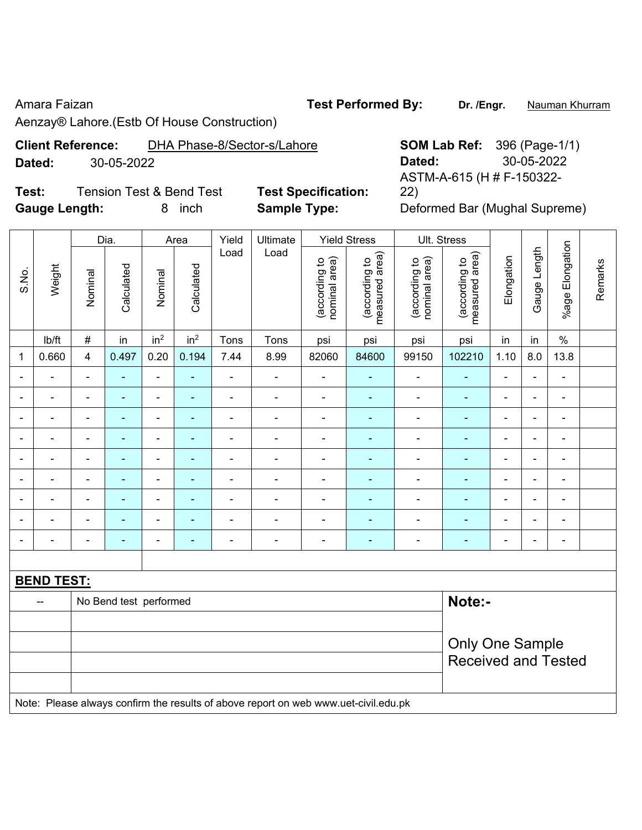### Amara Faizan **Test Performed By:** Dr. /Engr. **Nauman Khurram**

Aenzay® Lahore.(Estb Of House Construction)

# **Client Reference:** DHA Phase-8/Sector-s/Lahore **SOM Lab Ref:** 396 (Page-1/1) **Dated:** 30-05-2022 **Dated:** 30-05-2022

**Test:** Tension Test & Bend Test **Test Specification: Gauge Length:** 8 inch **Sample Type:** Deformed Bar (Mughal Supreme)

ASTM-A-615 (H # F-150322- 22)

|                              | Dia.<br>Yield<br>Ultimate<br><b>Yield Stress</b><br>Ult. Stress<br>Area |                          |                        |                              |                 |                          |                                                                                     |                                |                                 |                                |                                 |                          |                |                              |         |
|------------------------------|-------------------------------------------------------------------------|--------------------------|------------------------|------------------------------|-----------------|--------------------------|-------------------------------------------------------------------------------------|--------------------------------|---------------------------------|--------------------------------|---------------------------------|--------------------------|----------------|------------------------------|---------|
|                              |                                                                         |                          |                        |                              |                 |                          |                                                                                     |                                |                                 |                                |                                 |                          |                |                              |         |
| S.No.                        | Weight                                                                  | Nominal                  | Calculated             | Nominal                      | Calculated      | Load                     | Load                                                                                | nominal area)<br>(according to | measured area)<br>(according to | (according to<br>nominal area) | measured area)<br>(according to | Elongation               | Gauge Length   | %age Elongation              | Remarks |
|                              | lb/ft                                                                   | $\#$                     | in                     | in <sup>2</sup>              | in <sup>2</sup> | Tons                     | Tons                                                                                | psi                            | psi                             | psi                            | psi                             | in                       | in             | $\%$                         |         |
| $\mathbf 1$                  | 0.660                                                                   | $\overline{\mathbf{4}}$  | 0.497                  | 0.20                         | 0.194           | 7.44                     | 8.99                                                                                | 82060                          | 84600                           | 99150                          | 102210                          | 1.10                     | 8.0            | 13.8                         |         |
| $\blacksquare$               |                                                                         | $\blacksquare$           | $\sim$                 | $\blacksquare$               | ä,              | L,                       |                                                                                     | $\blacksquare$                 | $\overline{\phantom{0}}$        | ÷                              |                                 | Ē,                       |                | $\blacksquare$               |         |
| $\blacksquare$               | $\blacksquare$                                                          |                          | $\blacksquare$         | $\qquad \qquad \blacksquare$ | ۰               | $\blacksquare$           | $\frac{1}{2}$                                                                       | $\overline{\phantom{a}}$       | $\blacksquare$                  | $\overline{\phantom{a}}$       | $\blacksquare$                  | $\overline{\phantom{a}}$ | $\blacksquare$ | $\qquad \qquad \blacksquare$ |         |
| $\blacksquare$               | $\overline{\phantom{a}}$                                                | $\blacksquare$           | $\blacksquare$         | $\blacksquare$               | ۰               | $\blacksquare$           | $\blacksquare$                                                                      | ÷,                             | ٠                               | $\overline{\phantom{a}}$       | $\overline{\phantom{0}}$        | ÷                        | $\blacksquare$ | $\qquad \qquad \blacksquare$ |         |
| $\qquad \qquad \blacksquare$ | $\blacksquare$                                                          | $\overline{\phantom{a}}$ | $\blacksquare$         | $\blacksquare$               | ۰               | $\blacksquare$           | $\blacksquare$                                                                      | $\overline{\phantom{a}}$       | $\blacksquare$                  | $\blacksquare$                 | $\overline{\phantom{a}}$        | $\overline{\phantom{a}}$ | $\blacksquare$ | $\qquad \qquad \blacksquare$ |         |
| $\overline{\phantom{a}}$     | $\blacksquare$                                                          | $\overline{\phantom{a}}$ | $\blacksquare$         | $\overline{\phantom{a}}$     | ٠               | $\blacksquare$           | $\blacksquare$                                                                      | ÷,                             | $\blacksquare$                  | $\blacksquare$                 | $\blacksquare$                  | $\frac{1}{2}$            | $\blacksquare$ | $\blacksquare$               |         |
| $\blacksquare$               | $\overline{\phantom{a}}$                                                | $\blacksquare$           | $\blacksquare$         | $\blacksquare$               | ٠               | $\blacksquare$           | ÷,                                                                                  | ÷,                             | $\blacksquare$                  | $\overline{\phantom{a}}$       | $\blacksquare$                  | $\blacksquare$           | $\blacksquare$ | $\blacksquare$               |         |
| $\blacksquare$               |                                                                         | $\blacksquare$           | $\blacksquare$         | $\qquad \qquad \blacksquare$ | ä,              | $\overline{\phantom{a}}$ | $\blacksquare$                                                                      | ÷,                             | $\blacksquare$                  | $\blacksquare$                 | $\blacksquare$                  | ä,                       |                | $\blacksquare$               |         |
|                              |                                                                         | $\blacksquare$           | $\blacksquare$         | $\blacksquare$               |                 | $\blacksquare$           |                                                                                     | $\overline{\phantom{a}}$       | $\blacksquare$                  |                                |                                 | $\blacksquare$           |                | $\blacksquare$               |         |
|                              |                                                                         |                          |                        | Ē,                           |                 | ä,                       |                                                                                     | ä,                             | ÷,                              | $\blacksquare$                 | $\blacksquare$                  | ÷                        |                | $\blacksquare$               |         |
|                              |                                                                         |                          |                        |                              |                 |                          |                                                                                     |                                |                                 |                                |                                 |                          |                |                              |         |
|                              | <b>BEND TEST:</b>                                                       |                          |                        |                              |                 |                          |                                                                                     |                                |                                 |                                |                                 |                          |                |                              |         |
|                              | $\overline{\phantom{a}}$                                                |                          | No Bend test performed |                              |                 |                          |                                                                                     |                                |                                 |                                | Note:-                          |                          |                |                              |         |
|                              |                                                                         |                          |                        |                              |                 |                          |                                                                                     |                                |                                 |                                |                                 |                          |                |                              |         |
|                              |                                                                         | Only One Sample          |                        |                              |                 |                          |                                                                                     |                                |                                 |                                |                                 |                          |                |                              |         |
|                              |                                                                         |                          |                        |                              |                 |                          |                                                                                     |                                |                                 |                                | <b>Received and Tested</b>      |                          |                |                              |         |
|                              |                                                                         |                          |                        |                              |                 |                          |                                                                                     |                                |                                 |                                |                                 |                          |                |                              |         |
|                              |                                                                         |                          |                        |                              |                 |                          | Note: Please always confirm the results of above report on web www.uet-civil.edu.pk |                                |                                 |                                |                                 |                          |                |                              |         |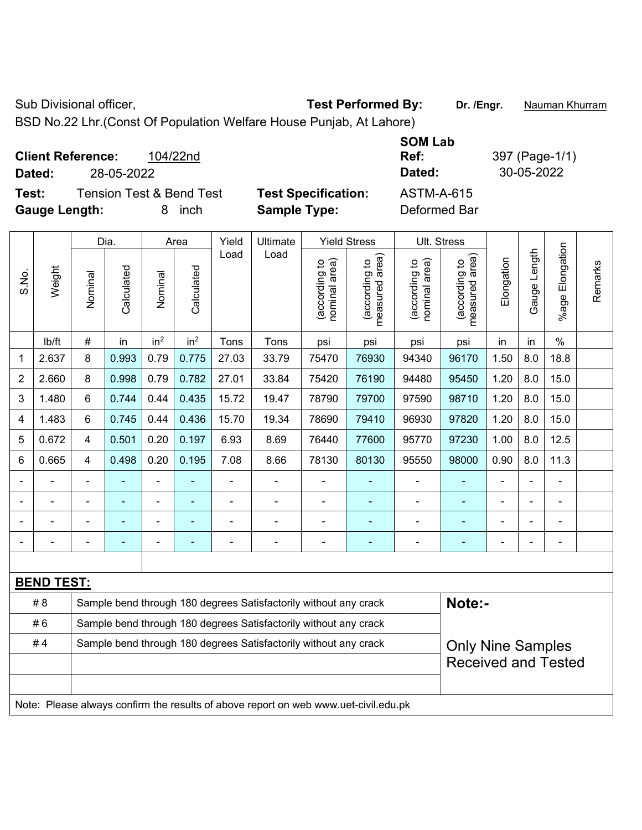Sub Divisional officer, **Test Performed By:** Dr. /Engr. **Nauman Khurram** 

BSD No.22 Lhr.(Const Of Population Welfare House Punjab, At Lahore)

| <b>Client Reference:</b>                                  | 104/22nd |                                                   | <b>SOM Lab</b><br>Ref:     | 397 (Page-1/1) |
|-----------------------------------------------------------|----------|---------------------------------------------------|----------------------------|----------------|
| 28-05-2022<br>Dated:                                      |          |                                                   | Dated:                     | 30-05-2022     |
| Tension Test & Bend Test<br>Test:<br><b>Gauge Length:</b> | inch     | <b>Test Specification:</b><br><b>Sample Type:</b> | ASTM-A-615<br>Deformed Bar |                |

|                |                   |                | Dia.                     |                 | Area            | Yield          | Ultimate                                                                            |                                | <b>Yield Stress</b>             |                                | Ult. Stress                                 |                |              |                       |         |
|----------------|-------------------|----------------|--------------------------|-----------------|-----------------|----------------|-------------------------------------------------------------------------------------|--------------------------------|---------------------------------|--------------------------------|---------------------------------------------|----------------|--------------|-----------------------|---------|
| S.No.          | Weight            | Nominal        | Calculated               | Nominal         | Calculated      | Load           | Load                                                                                | nominal area)<br>(according to | measured area)<br>(according to | nominal area)<br>(according to | (according to<br>measured area)<br>measured | Elongation     | Gauge Length | Elongation<br>$%$ age | Remarks |
|                | lb/ft             | $\#$           | in                       | in <sup>2</sup> | in <sup>2</sup> | Tons           | Tons                                                                                | psi                            | psi                             | psi                            | psi                                         | in             | in           | $\%$                  |         |
| 1              | 2.637             | 8              | 0.993                    | 0.79            | 0.775           | 27.03          | 33.79                                                                               | 75470                          | 76930                           | 94340                          | 96170                                       | 1.50           | 8.0          | 18.8                  |         |
| $\overline{2}$ | 2.660             | 8              | 0.998                    | 0.79            | 0.782           | 27.01          | 33.84                                                                               | 75420                          | 76190                           | 94480                          | 95450                                       | 1.20           | 8.0          | 15.0                  |         |
| 3              | 1.480             | 6              | 0.744                    | 0.44            | 0.435           | 15.72          | 19.47                                                                               | 78790                          | 79700                           | 97590                          | 98710                                       | 1.20           | 8.0          | 15.0                  |         |
| 4              | 1.483             | 6              | 0.745                    | 0.44            | 0.436           | 15.70          | 19.34                                                                               | 78690                          | 79410                           | 96930                          | 97820                                       | 1.20           | 8.0          | 15.0                  |         |
| 5              | 0.672             | $\overline{4}$ | 0.501                    | 0.20            | 0.197           | 6.93           | 8.69                                                                                | 76440                          | 77600                           | 95770                          | 97230                                       | 1.00           | 8.0          | 12.5                  |         |
| 6              | 0.665             | $\overline{4}$ | 0.498                    | 0.20            | 0.195           | 7.08           | 8.66                                                                                | 78130                          | 80130                           | 95550                          | 98000                                       | 0.90           | 8.0          | 11.3                  |         |
|                |                   | $\blacksquare$ | L,                       | $\blacksquare$  |                 | $\blacksquare$ | ÷.                                                                                  | Ē,                             |                                 |                                | ä,                                          | $\overline{a}$ |              | $\blacksquare$        |         |
|                |                   |                |                          |                 |                 |                | $\blacksquare$                                                                      |                                |                                 |                                |                                             |                |              | $\blacksquare$        |         |
|                |                   |                |                          |                 |                 |                |                                                                                     |                                |                                 |                                |                                             |                |              |                       |         |
|                |                   | $\blacksquare$ | $\overline{\phantom{a}}$ |                 | ۰               |                |                                                                                     |                                | ۰                               |                                | $\blacksquare$                              |                |              | $\blacksquare$        |         |
|                |                   |                |                          |                 |                 |                |                                                                                     |                                |                                 |                                |                                             |                |              |                       |         |
|                | <b>BEND TEST:</b> |                |                          |                 |                 |                |                                                                                     |                                |                                 |                                |                                             |                |              |                       |         |
|                | # 8               |                |                          |                 |                 |                | Sample bend through 180 degrees Satisfactorily without any crack                    |                                |                                 |                                | Note:-                                      |                |              |                       |         |
|                | #6                |                |                          |                 |                 |                | Sample bend through 180 degrees Satisfactorily without any crack                    |                                |                                 |                                |                                             |                |              |                       |         |
|                | #4                |                |                          |                 |                 |                | Sample bend through 180 degrees Satisfactorily without any crack                    |                                |                                 |                                | <b>Only Nine Samples</b>                    |                |              |                       |         |
|                |                   |                |                          |                 |                 |                |                                                                                     |                                |                                 |                                | <b>Received and Tested</b>                  |                |              |                       |         |
|                |                   |                |                          |                 |                 |                |                                                                                     |                                |                                 |                                |                                             |                |              |                       |         |
|                |                   |                |                          |                 |                 |                | Note: Please always confirm the results of above report on web www.uet-civil.edu.pk |                                |                                 |                                |                                             |                |              |                       |         |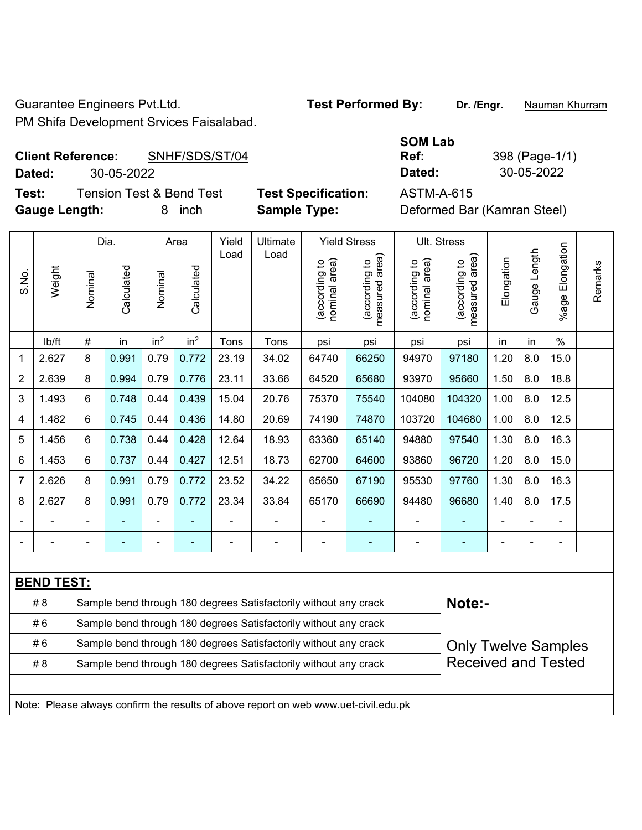Guarantee Engineers Pvt.Ltd. **Test Performed By:** Dr. /Engr. **Nauman Khurram PM Shifa** 

#### **Client Reference:** SNHF/SDS/ST/04 **Dated:** 30-05-2022 **Dated:** 30-05-2022

**Test:** Tension Test & Bend Test **Test Specification:** ASTM-A-615 **Gauge Length:** 8 inch **Sample Type:** Deformed Bar (Kamran Steel)

| a Development Srvices Faisalabad. |  |
|-----------------------------------|--|
|                                   |  |

# **SOM Lab Ref:** 398 (Page-1/1)

|                |                   | Dia.<br>Yield<br>Ultimate<br><b>Yield Stress</b><br>Ult. Stress<br>Area<br>Load<br>Load        |                |                 |                 |       |                                                                                     |                                |                                 |                                |                                             |            |              |                       |         |
|----------------|-------------------|------------------------------------------------------------------------------------------------|----------------|-----------------|-----------------|-------|-------------------------------------------------------------------------------------|--------------------------------|---------------------------------|--------------------------------|---------------------------------------------|------------|--------------|-----------------------|---------|
| S.No.          | Weight            | Nominal                                                                                        | Calculated     | Nominal         | Calculated      |       |                                                                                     | nominal area)<br>(according to | (according to<br>measured area) | (according to<br>nominal area) | (according to<br>neasured area)<br>measured | Elongation | Gauge Length | Elongation<br>$%$ age | Remarks |
|                | lb/ft             | #                                                                                              | in             | in <sup>2</sup> | in <sup>2</sup> | Tons  | Tons                                                                                | psi                            | psi                             | psi                            | psi                                         | in         | in           | $\%$                  |         |
| 1              | 2.627             | 8                                                                                              | 0.991          | 0.79            | 0.772           | 23.19 | 34.02                                                                               | 64740                          | 66250                           | 94970                          | 97180                                       | 1.20       | 8.0          | 15.0                  |         |
| $\overline{2}$ | 2.639             | 8                                                                                              | 0.994          | 0.79            | 0.776           | 23.11 | 33.66                                                                               | 64520                          | 65680                           | 93970                          | 95660                                       | 1.50       | 8.0          | 18.8                  |         |
| 3              | 1.493             | 6                                                                                              | 0.748          | 0.44            | 0.439           | 15.04 | 20.76                                                                               | 75370                          | 75540                           | 104080                         | 104320                                      | 1.00       | 8.0          | 12.5                  |         |
| 4              | 1.482             | 6                                                                                              | 0.745          | 0.44            | 0.436           | 14.80 | 20.69                                                                               | 74190                          | 74870                           | 103720                         | 104680                                      | 1.00       | 8.0          | 12.5                  |         |
| 5              | 1.456             | 6                                                                                              | 0.738          | 0.44            | 0.428           | 12.64 | 18.93                                                                               | 63360                          | 65140                           | 94880                          | 97540                                       | 1.30       | 8.0          | 16.3                  |         |
| 6              | 1.453             | 6                                                                                              | 0.737          | 0.44            | 0.427           | 12.51 | 18.73                                                                               | 62700                          | 64600                           | 93860                          | 96720                                       | 1.20       | 8.0          | 15.0                  |         |
| $\overline{7}$ | 2.626             | 8                                                                                              | 0.991          | 0.79            | 0.772           | 23.52 | 34.22                                                                               | 65650                          | 67190                           | 95530                          | 97760                                       | 1.30       | 8.0          | 16.3                  |         |
| 8              | 2.627             | 8                                                                                              | 0.991          | 0.79            | 0.772           | 23.34 | 33.84                                                                               | 65170                          | 66690                           | 94480                          | 96680                                       | 1.40       | 8.0          | 17.5                  |         |
|                |                   | $\blacksquare$                                                                                 | $\blacksquare$ | ä,              |                 |       |                                                                                     |                                |                                 | ä,                             |                                             | ä,         |              | $\blacksquare$        |         |
|                |                   |                                                                                                |                |                 |                 |       |                                                                                     |                                |                                 |                                |                                             |            |              | $\blacksquare$        |         |
|                |                   |                                                                                                |                |                 |                 |       |                                                                                     |                                |                                 |                                |                                             |            |              |                       |         |
|                | <b>BEND TEST:</b> |                                                                                                |                |                 |                 |       |                                                                                     |                                |                                 |                                |                                             |            |              |                       |         |
|                | # 8               |                                                                                                |                |                 |                 |       | Sample bend through 180 degrees Satisfactorily without any crack                    |                                |                                 |                                | Note:-                                      |            |              |                       |         |
|                | #6                |                                                                                                |                |                 |                 |       | Sample bend through 180 degrees Satisfactorily without any crack                    |                                |                                 |                                |                                             |            |              |                       |         |
|                | #6                |                                                                                                |                |                 |                 |       | Sample bend through 180 degrees Satisfactorily without any crack                    |                                |                                 |                                | <b>Only Twelve Samples</b>                  |            |              |                       |         |
|                | # 8               | <b>Received and Tested</b><br>Sample bend through 180 degrees Satisfactorily without any crack |                |                 |                 |       |                                                                                     |                                |                                 |                                |                                             |            |              |                       |         |
|                |                   |                                                                                                |                |                 |                 |       |                                                                                     |                                |                                 |                                |                                             |            |              |                       |         |
|                |                   |                                                                                                |                |                 |                 |       | Note: Please always confirm the results of above report on web www.uet-civil.edu.pk |                                |                                 |                                |                                             |            |              |                       |         |